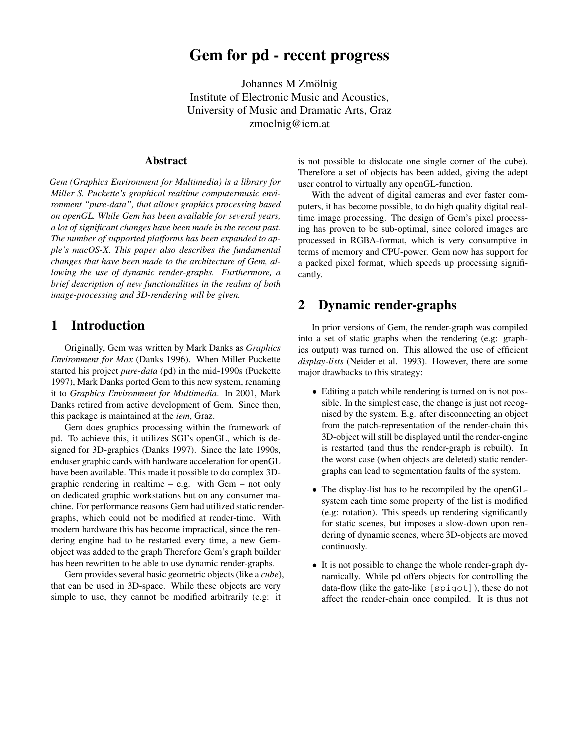# **Gem for pd - recent progress**

Johannes M Zmölnig Institute of Electronic Music and Acoustics, University of Music and Dramatic Arts, Graz zmoelnig@iem.at

#### **Abstract**

*Gem (Graphics Environment for Multimedia) is a library for Miller S. Puckette's graphical realtime computermusic environment "pure-data", that allows graphics processing based on openGL. While Gem has been available for several years, a lot of significant changes have been made in the recent past. The number of supported platforms has been expanded to apple's macOS-X. This paper also describes the fundamental changes that have been made to the architecture of Gem, allowing the use of dynamic render-graphs. Furthermore, a brief description of new functionalities in the realms of both image-processing and 3D-rendering will be given.*

## **1 Introduction**

Originally, Gem was written by Mark Danks as *Graphics Environment for Max* (Danks 1996). When Miller Puckette started his project *pure-data* (pd) in the mid-1990s (Puckette 1997), Mark Danks ported Gem to this new system, renaming it to *Graphics Environment for Multimedia*. In 2001, Mark Danks retired from active development of Gem. Since then, this package is maintained at the *iem*, Graz.

Gem does graphics processing within the framework of pd. To achieve this, it utilizes SGI's openGL, which is designed for 3D-graphics (Danks 1997). Since the late 1990s, enduser graphic cards with hardware acceleration for openGL have been available. This made it possible to do complex 3Dgraphic rendering in realtime  $-$  e.g. with Gem  $-$  not only on dedicated graphic workstations but on any consumer machine. For performance reasons Gem had utilized static rendergraphs, which could not be modified at render-time. With modern hardware this has become impractical, since the rendering engine had to be restarted every time, a new Gemobject was added to the graph Therefore Gem's graph builder has been rewritten to be able to use dynamic render-graphs.

Gem provides several basic geometric objects (like a *cube*), that can be used in 3D-space. While these objects are very simple to use, they cannot be modified arbitrarily (e.g: it

is not possible to dislocate one single corner of the cube). Therefore a set of objects has been added, giving the adept user control to virtually any openGL-function.

With the advent of digital cameras and ever faster computers, it has become possible, to do high quality digital realtime image processing. The design of Gem's pixel processing has proven to be sub-optimal, since colored images are processed in RGBA-format, which is very consumptive in terms of memory and CPU-power. Gem now has support for a packed pixel format, which speeds up processing significantly.

## **2 Dynamic render-graphs**

In prior versions of Gem, the render-graph was compiled into a set of static graphs when the rendering (e.g: graphics output) was turned on. This allowed the use of efficient *display-lists* (Neider et al. 1993). However, there are some major drawbacks to this strategy:

- Editing a patch while rendering is turned on is not possible. In the simplest case, the change is just not recognised by the system. E.g. after disconnecting an object from the patch-representation of the render-chain this 3D-object will still be displayed until the render-engine is restarted (and thus the render-graph is rebuilt). In the worst case (when objects are deleted) static rendergraphs can lead to segmentation faults of the system.
- The display-list has to be recompiled by the openGLsystem each time some property of the list is modified (e.g: rotation). This speeds up rendering significantly for static scenes, but imposes a slow-down upon rendering of dynamic scenes, where 3D-objects are moved continuosly.
- It is not possible to change the whole render-graph dynamically. While pd offers objects for controlling the data-flow (like the gate-like [spigot]), these do not affect the render-chain once compiled. It is thus not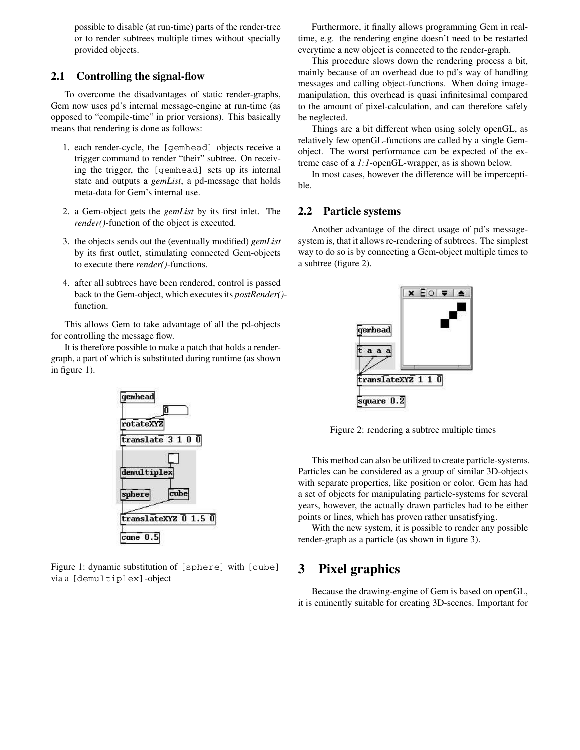possible to disable (at run-time) parts of the render-tree or to render subtrees multiple times without specially provided objects.

#### **2.1 Controlling the signal-flow**

To overcome the disadvantages of static render-graphs, Gem now uses pd's internal message-engine at run-time (as opposed to "compile-time" in prior versions). This basically means that rendering is done as follows:

- 1. each render-cycle, the [gemhead] objects receive a trigger command to render "their" subtree. On receiving the trigger, the [gemhead] sets up its internal state and outputs a *gemList*, a pd-message that holds meta-data for Gem's internal use.
- 2. a Gem-object gets the *gemList* by its first inlet. The *render()*-function of the object is executed.
- 3. the objects sends out the (eventually modified) *gemList* by its first outlet, stimulating connected Gem-objects to execute there *render()*-functions.
- 4. after all subtrees have been rendered, control is passed back to the Gem-object, which executesits *postRender()* function.

This allows Gem to take advantage of all the pd-objects for controlling the message flow.

It is therefore possible to make a patch that holds a rendergraph, a part of which is substituted during runtime (as shown in figure 1).



Figure 1: dynamic substitution of [sphere] with [cube] via a [demultiplex]-object

Furthermore, it finally allows programming Gem in realtime, e.g. the rendering engine doesn't need to be restarted everytime a new object is connected to the render-graph.

This procedure slows down the rendering process a bit, mainly because of an overhead due to pd's way of handling messages and calling object-functions. When doing imagemanipulation, this overhead is quasi infinitesimal compared to the amount of pixel-calculation, and can therefore safely be neglected.

Things are a bit different when using solely openGL, as relatively few openGL-functions are called by a single Gemobject. The worst performance can be expected of the extreme case of a *1:1*-openGL-wrapper, as is shown below.

In most cases, however the difference will be imperceptible.

### **2.2 Particle systems**

Another advantage of the direct usage of pd's messagesystem is, that it allows re-rendering of subtrees. The simplest way to do so is by connecting a Gem-object multiple times to a subtree (figure 2).



Figure 2: rendering a subtree multiple times

This method can also be utilized to create particle-systems. Particles can be considered as a group of similar 3D-objects with separate properties, like position or color. Gem has had a set of objects for manipulating particle-systems for several years, however, the actually drawn particles had to be either points or lines, which has proven rather unsatisfying.

With the new system, it is possible to render any possible render-graph as a particle (as shown in figure 3).

## **3 Pixel graphics**

Because the drawing-engine of Gem is based on openGL, it is eminently suitable for creating 3D-scenes. Important for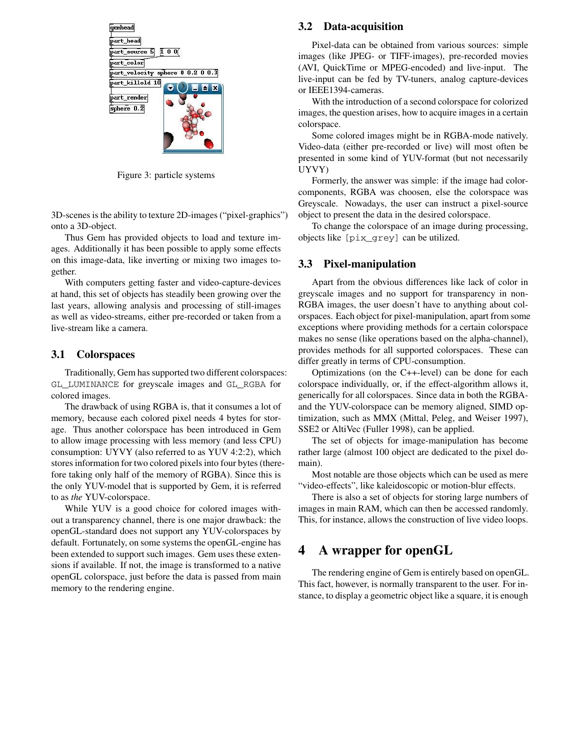

Figure 3: particle systems

3D-scenes is the ability to texture 2D-images ("pixel-graphics") onto a 3D-object.

Thus Gem has provided objects to load and texture images. Additionally it has been possible to apply some effects on this image-data, like inverting or mixing two images together.

With computers getting faster and video-capture-devices at hand, this set of objects has steadily been growing over the last years, allowing analysis and processing of still-images as well as video-streams, either pre-recorded or taken from a live-stream like a camera.

### **3.1 Colorspaces**

Traditionally, Gem has supported two different colorspaces: GL\_LUMINANCE for greyscale images and GL\_RGBA for colored images.

The drawback of using RGBA is, that it consumes a lot of memory, because each colored pixel needs 4 bytes for storage. Thus another colorspace has been introduced in Gem to allow image processing with less memory (and less CPU) consumption: UYVY (also referred to as YUV 4:2:2), which stores information for two colored pixels into four bytes (therefore taking only half of the memory of RGBA). Since this is the only YUV-model that is supported by Gem, it is referred to as *the* YUV-colorspace.

While YUV is a good choice for colored images without a transparency channel, there is one major drawback: the openGL-standard does not support any YUV-colorspaces by default. Fortunately, on some systems the openGL-engine has been extended to support such images. Gem uses these extensions if available. If not, the image is transformed to a native openGL colorspace, just before the data is passed from main memory to the rendering engine.

#### **3.2 Data-acquisition**

Pixel-data can be obtained from various sources: simple images (like JPEG- or TIFF-images), pre-recorded movies (AVI, QuickTime or MPEG-encoded) and live-input. The live-input can be fed by TV-tuners, analog capture-devices or IEEE1394-cameras.

With the introduction of a second colorspace for colorized images, the question arises, how to acquire images in a certain colorspace.

Some colored images might be in RGBA-mode natively. Video-data (either pre-recorded or live) will most often be presented in some kind of YUV-format (but not necessarily UYVY)

Formerly, the answer was simple: if the image had colorcomponents, RGBA was choosen, else the colorspace was Greyscale. Nowadays, the user can instruct a pixel-source object to present the data in the desired colorspace.

To change the colorspace of an image during processing, objects like [pix\_grey] can be utilized.

### **3.3 Pixel-manipulation**

Apart from the obvious differences like lack of color in greyscale images and no support for transparency in non-RGBA images, the user doesn't have to anything about colorspaces. Each object for pixel-manipulation, apart from some exceptions where providing methods for a certain colorspace makes no sense (like operations based on the alpha-channel), provides methods for all supported colorspaces. These can differ greatly in terms of CPU-consumption.

Optimizations (on the C++-level) can be done for each colorspace individually, or, if the effect-algorithm allows it, generically for all colorspaces. Since data in both the RGBAand the YUV-colorspace can be memory aligned, SIMD optimization, such as MMX (Mittal, Peleg, and Weiser 1997), SSE2 or AltiVec (Fuller 1998), can be applied.

The set of objects for image-manipulation has become rather large (almost 100 object are dedicated to the pixel domain).

Most notable are those objects which can be used as mere "video-effects", like kaleidoscopic or motion-blur effects.

There is also a set of objects for storing large numbers of images in main RAM, which can then be accessed randomly. This, for instance, allows the construction of live video loops.

## **4 A wrapper for openGL**

The rendering engine of Gem is entirely based on openGL. This fact, however, is normally transparent to the user. For instance, to display a geometric object like a square, it is enough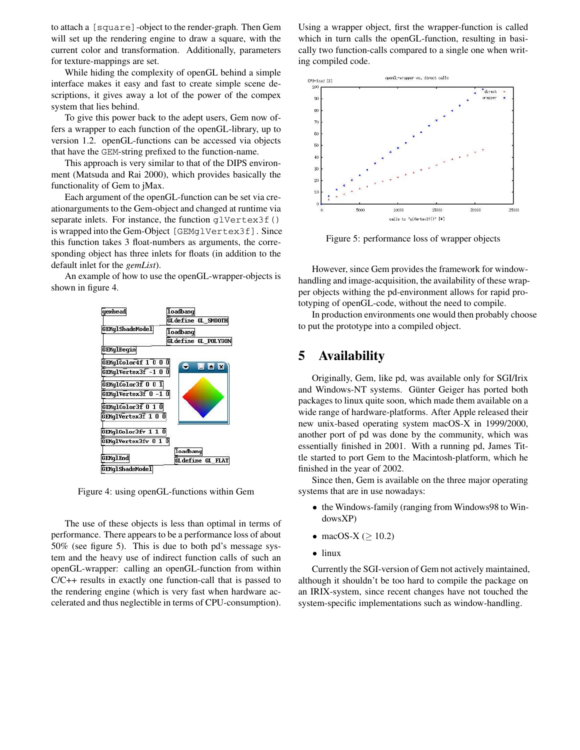to attach a [square]-object to the render-graph. Then Gem will set up the rendering engine to draw a square, with the current color and transformation. Additionally, parameters for texture-mappings are set.

While hiding the complexity of openGL behind a simple interface makes it easy and fast to create simple scene descriptions, it gives away a lot of the power of the compex system that lies behind.

To give this power back to the adept users, Gem now offers a wrapper to each function of the openGL-library, up to version 1.2. openGL-functions can be accessed via objects that have the GEM-string prefixed to the function-name.

This approach is very similar to that of the DIPS environment (Matsuda and Rai 2000), which provides basically the functionality of Gem to jMax.

Each argument of the openGL-function can be set via creationarguments to the Gem-object and changed at runtime via separate inlets. For instance, the function glvertex3f() is wrapped into the Gem-Object [GEMglVertex3f]. Since this function takes 3 float-numbers as arguments, the corresponding object has three inlets for floats (in addition to the default inlet for the *gemList*).

An example of how to use the openGL-wrapper-objects is shown in figure 4.



Figure 4: using openGL-functions within Gem

The use of these objects is less than optimal in terms of performance. There appears to be a performance loss of about 50% (see figure 5). This is due to both pd's message system and the heavy use of indirect function calls of such an openGL-wrapper: calling an openGL-function from within C/C++ results in exactly one function-call that is passed to the rendering engine (which is very fast when hardware accelerated and thus neglectible in terms of CPU-consumption). Using a wrapper object, first the wrapper-function is called which in turn calls the openGL-function, resulting in basically two function-calls compared to a single one when writing compiled code.



Figure 5: performance loss of wrapper objects

However, since Gem provides the framework for windowhandling and image-acquisition, the availability of these wrapper objects withing the pd-environment allows for rapid prototyping of openGL-code, without the need to compile.

In production environments one would then probably choose to put the prototype into a compiled object.

## **5 Availability**

Originally, Gem, like pd, was available only for SGI/Irix and Windows-NT systems. Günter Geiger has ported both packages to linux quite soon, which made them available on a wide range of hardware-platforms. After Apple released their new unix-based operating system macOS-X in 1999/2000, another port of pd was done by the community, which was essentially finished in 2001. With a running pd, James Tittle started to port Gem to the Macintosh-platform, which he finished in the year of 2002.

Since then, Gem is available on the three major operating systems that are in use nowadays:

- the Windows-family (ranging from Windows98 to WindowsXP)
- macOS-X ( $\geq$  10.2)
- linux

Currently the SGI-version of Gem not actively maintained, although it shouldn't be too hard to compile the package on an IRIX-system, since recent changes have not touched the system-specific implementations such as window-handling.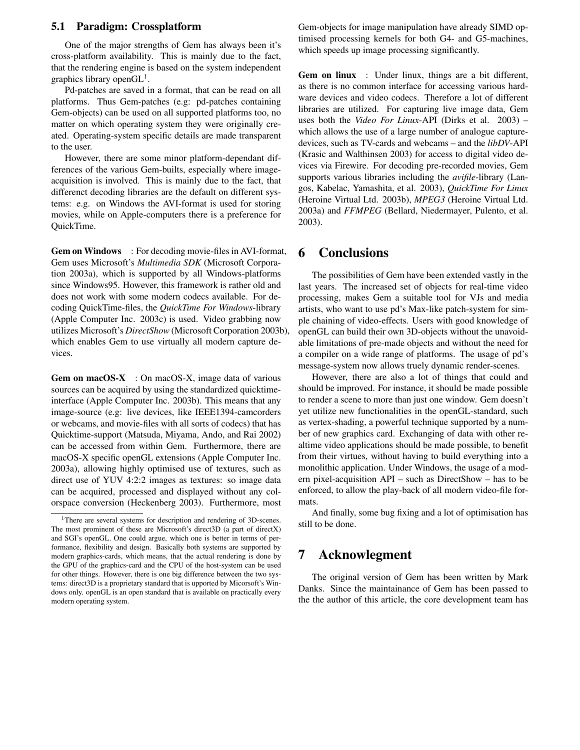#### **5.1 Paradigm: Crossplatform**

One of the major strengths of Gem has always been it's cross-platform availability. This is mainly due to the fact, that the rendering engine is based on the system independent graphics library open $GL<sup>1</sup>$ .

Pd-patches are saved in a format, that can be read on all platforms. Thus Gem-patches (e.g: pd-patches containing Gem-objects) can be used on all supported platforms too, no matter on which operating system they were originally created. Operating-system specific details are made transparent to the user.

However, there are some minor platform-dependant differences of the various Gem-builts, especially where imageacquisition is involved. This is mainly due to the fact, that differenct decoding libraries are the default on different systems: e.g. on Windows the AVI-format is used for storing movies, while on Apple-computers there is a preference for QuickTime.

**Gem on Windows** : For decoding movie-filesin AVI-format, Gem uses Microsoft's *Multimedia SDK* (Microsoft Corporation 2003a), which is supported by all Windows-platforms since Windows95. However, this framework is rather old and does not work with some modern codecs available. For decoding QuickTime-files, the *QuickTime For Windows*-library (Apple Computer Inc. 2003c) is used. Video grabbing now utilizes Microsoft's *DirectShow* (Microsoft Corporation 2003b), which enables Gem to use virtually all modern capture devices.

**Gem on macOS-X** : On macOS-X, image data of various sources can be acquired by using the standardized quicktimeinterface (Apple Computer Inc. 2003b). This means that any image-source (e.g: live devices, like IEEE1394-camcorders or webcams, and movie-files with all sorts of codecs) that has Quicktime-support (Matsuda, Miyama, Ando, and Rai 2002) can be accessed from within Gem. Furthermore, there are macOS-X specific openGL extensions (Apple Computer Inc. 2003a), allowing highly optimised use of textures, such as direct use of YUV 4:2:2 images as textures: so image data can be acquired, processed and displayed without any colorspace conversion (Heckenberg 2003). Furthermore, most Gem-objects for image manipulation have already SIMD optimised processing kernels for both G4- and G5-machines, which speeds up image processing significantly.

**Gem on linux** : Under linux, things are a bit different, as there is no common interface for accessing various hardware devices and video codecs. Therefore a lot of different libraries are utilized. For capturing live image data, Gem uses both the *Video For Linux*-API (Dirks et al. 2003) – which allows the use of a large number of analogue capturedevices, such as TV-cards and webcams – and the *libDV*-API (Krasic and Walthinsen 2003) for access to digital video devices via Firewire. For decoding pre-recorded movies, Gem supports various libraries including the *avifile*-library (Langos, Kabelac, Yamashita, et al. 2003), *QuickTime For Linux* (Heroine Virtual Ltd. 2003b), *MPEG3* (Heroine Virtual Ltd. 2003a) and *FFMPEG* (Bellard, Niedermayer, Pulento, et al. 2003).

## **6 Conclusions**

The possibilities of Gem have been extended vastly in the last years. The increased set of objects for real-time video processing, makes Gem a suitable tool for VJs and media artists, who want to use pd's Max-like patch-system for simple chaining of video-effects. Users with good knowledge of openGL can build their own 3D-objects without the unavoidable limitations of pre-made objects and without the need for a compiler on a wide range of platforms. The usage of pd's message-system now allows truely dynamic render-scenes.

However, there are also a lot of things that could and should be improved. For instance, it should be made possible to render a scene to more than just one window. Gem doesn't yet utilize new functionalities in the openGL-standard, such as vertex-shading, a powerful technique supported by a number of new graphics card. Exchanging of data with other realtime video applications should be made possible, to benefit from their virtues, without having to build everything into a monolithic application. Under Windows, the usage of a modern pixel-acquisition API – such as DirectShow – has to be enforced, to allow the play-back of all modern video-file formats.

And finally, some bug fixing and a lot of optimisation has still to be done.

## **7 Acknowlegment**

The original version of Gem has been written by Mark Danks. Since the maintainance of Gem has been passed to the the author of this article, the core development team has

<sup>&</sup>lt;sup>1</sup>There are several systems for description and rendering of 3D-scenes. The most prominent of these are Microsoft's direct3D (a part of directX) and SGI's openGL. One could argue, which one is better in terms of performance, flexibility and design. Basically both systems are supported by modern graphics-cards, which means, that the actual rendering is done by the GPU of the graphics-card and the CPU of the host-system can be used for other things. However, there is one big difference between the two systems: direct3D is a proprietary standard that is upported by Micorsoft's Windows only. openGL is an open standard that is available on practically every modern operating system.